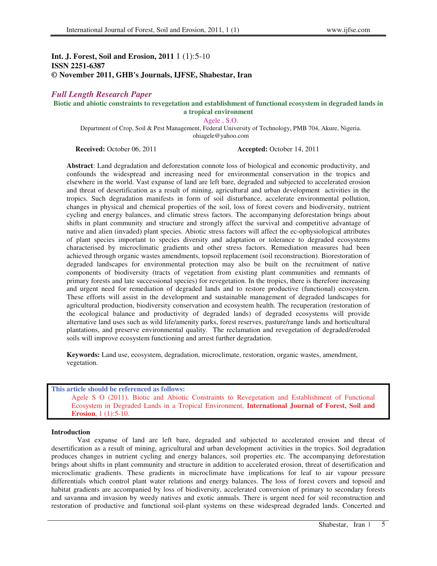# **Int. J. Forest, Soil and Erosion, 2011** 1 (1):5-10 **ISSN 2251-6387 © November 2011, GHB's Journals, IJFSE, Shabestar, Iran**

# *Full Length Research Paper*

### **Biotic and abiotic constraints to revegetation and establishment of functional ecosystem in degraded lands in a tropical environment**

Agele , S.O.

Department of Crop, Soil & Pest Management, Federal University of Technology, PMB 704, Akure, Nigeria. ohiagele@yahoo.com

**Received:** October 06, 2011 **Accepted:** October 14, 2011

**Abstract**: Land degradation and deforestation connote loss of biological and economic productivity, and confounds the widespread and increasing need for environmental conservation in the tropics and elsewhere in the world. Vast expanse of land are left bare, degraded and subjected to accelerated erosion and threat of desertification as a result of mining, agricultural and urban development activities in the tropics. Such degradation manifests in form of soil disturbance, accelerate environmental pollution, changes in physical and chemical properties of the soil, loss of forest covers and biodiversity, nutrient cycling and energy balances, and climatic stress factors. The accompanying deforestation brings about shifts in plant community and structure and strongly affect the survival and competitive advantage of native and alien (invaded) plant species. Abiotic stress factors will affect the ec-ophysiological attributes of plant species important to species diversity and adaptation or tolerance to degraded ecosystems characterised by microclimatic gradients and other stress factors. Remediation measures had been achieved through organic wastes amendments, topsoil replacement (soil reconstruction). Biorestoration of degraded landscapes for environmental protection may also be built on the recruitment of native components of biodiversity (tracts of vegetation from existing plant communities and remnants of primary forests and late successional species) for revegetation. In the tropics, there is therefore increasing and urgent need for remediation of degraded lands and to restore productive (functional) ecosystem. These efforts will assist in the development and sustainable management of degraded landscapes for agricultural production, biodiversity conservation and ecosystem health. The recuperation (restoration of the ecological balance and productivity of degraded lands) of degraded ecosystems will provide alternative land uses such as wild life/amenity parks, forest reserves, pasture/range lands and horticultural plantations, and preserve environmental quality. The reclamation and revegetation of degraded/eroded soils will improve ecosystem functioning and arrest further degradation.

**Keywords:** Land use, ecosystem, degradation, microclimate, restoration, organic wastes, amendment, vegetation.

# **This article should be referenced as follows:**  Agele S O (2011). Biotic and Abiotic Constraints to Revegetation and Establishment of Functional Ecosystem in Degraded Lands in a Tropical Environment, **International Journal of Forest, Soil and Erosion**, 1 (1):5-10

### **Introduction**

Vast expanse of land are left bare, degraded and subjected to accelerated erosion and threat of desertification as a result of mining, agricultural and urban development activities in the tropics. Soil degradation produces changes in nutrient cycling and energy balances, soil properties etc. The accompanying deforestation brings about shifts in plant community and structure in addition to accelerated erosion, threat of desertification and microclimatic gradients. These gradients in microclimate have implications for leaf to air vapour pressure differentials which control plant water relations and energy balances. The loss of forest covers and topsoil and habitat gradients are accompanied by loss of biodiversity, accelerated conversion of primary to secondary forests and savanna and invasion by weedy natives and exotic annuals. There is urgent need for soil reconstruction and restoration of productive and functional soil-plant systems on these widespread degraded lands. Concerted and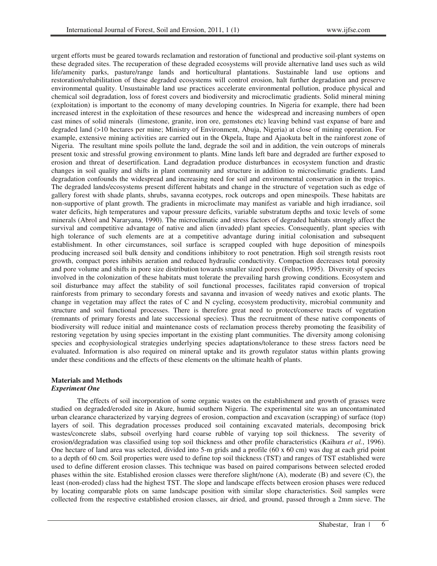urgent efforts must be geared towards reclamation and restoration of functional and productive soil-plant systems on these degraded sites. The recuperation of these degraded ecosystems will provide alternative land uses such as wild life/amenity parks, pasture/range lands and horticultural plantations. Sustainable land use options and restoration/rehabilitation of these degraded ecosystems will control erosion, halt further degradation and preserve environmental quality. Unsustainable land use practices accelerate environmental pollution, produce physical and chemical soil degradation, loss of forest covers and biodiversity and microclimatic gradients. Solid mineral mining (exploitation) is important to the economy of many developing countries. In Nigeria for example, there had been increased interest in the exploitation of these resources and hence the widespread and increasing numbers of open cast mines of solid minerals (limestone, granite, iron ore, gemstones etc) leaving behind vast expanse of bare and degraded land (>10 hectares per mine; Ministry of Environment, Abuja, Nigeria) at close of mining operation. For example, extensive mining activities are carried out in the Okpela, Itape and Ajaokuta belt in the rainforest zone of Nigeria. The resultant mine spoils pollute the land, degrade the soil and in addition, the vein outcrops of minerals present toxic and stressful growing environment to plants. Mine lands left bare and degraded are further exposed to erosion and threat of desertification. Land degradation produce disturbances in ecosystem function and drastic changes in soil quality and shifts in plant community and structure in addition to microclimatic gradients. Land degradation confounds the widespread and increasing need for soil and environmental conservation in the tropics. The degraded lands/ecosystems present different habitats and change in the structure of vegetation such as edge of gallery forest with shade plants, shrubs, savanna ecotypes, rock outcrops and open minespoils. These habitats are non-supportive of plant growth. The gradients in microclimate may manifest as variable and high irradiance, soil water deficits, high temperatures and vapour pressure deficits, variable substratum depths and toxic levels of some minerals (Abrol and Nararyana, 1990). The microclimatic and stress factors of degraded habitats strongly affect the survival and competitive advantage of native and alien (invaded) plant species. Consequently, plant species with high tolerance of such elements are at a competitive advantage during initial colonisation and subsequent establishment. In other circumstances, soil surface is scrapped coupled with huge deposition of minespoils producing increased soil bulk density and conditions inhibitory to root penetration. High soil strength resists root growth, compact pores inhibits aeration and reduced hydraulic conductivity. Compaction decreases total porosity and pore volume and shifts in pore size distribution towards smaller sized pores (Felton, 1995). Diversity of species involved in the colonization of these habitats must tolerate the prevailing harsh growing conditions. Ecosystem and soil disturbance may affect the stability of soil functional processes, facilitates rapid conversion of tropical rainforests from primary to secondary forests and savanna and invasion of weedy natives and exotic plants. The change in vegetation may affect the rates of C and N cycling, ecosystem productivity, microbial community and structure and soil functional processes. There is therefore great need to protect/conserve tracts of vegetation (remnants of primary forests and late successional species). Thus the recruitment of these native components of biodiversity will reduce initial and maintenance costs of reclamation process thereby promoting the feasibility of restoring vegetation by using species important in the existing plant communities. The diversity among colonising species and ecophysiological strategies underlying species adaptations/tolerance to these stress factors need be evaluated. Information is also required on mineral uptake and its growth regulator status within plants growing under these conditions and the effects of these elements on the ultimate health of plants.

#### **Materials and Methods**  *Experiment One*

The effects of soil incorporation of some organic wastes on the establishment and growth of grasses were studied on degraded/eroded site in Akure, humid southern Nigeria. The experimental site was an uncontaminated urban clearance characterized by varying degrees of erosion, compaction and excavation (scrapping) of surface (top) layers of soil. This degradation processes produced soil containing excavated materials, decomposing brick wastes/concrete slabs, subsoil overlying hard coarse rubble of varying top soil thickness. The severity of erosion/degradation was classified using top soil thickness and other profile characteristics (Kaihura *et al.*, 1996). One hectare of land area was selected, divided into 5-m grids and a profile (60 x 60 cm) was dug at each grid point to a depth of 60 cm. Soil properties were used to define top soil thickness (TST) and ranges of TST established were used to define different erosion classes. This technique was based on paired comparisons between selected eroded phases within the site. Established erosion classes were therefore slight/none (A), moderate (B) and severe (C), the least (non-eroded) class had the highest TST. The slope and landscape effects between erosion phases were reduced by locating comparable plots on same landscape position with similar slope characteristics. Soil samples were collected from the respective established erosion classes, air dried, and ground, passed through a 2mm sieve. The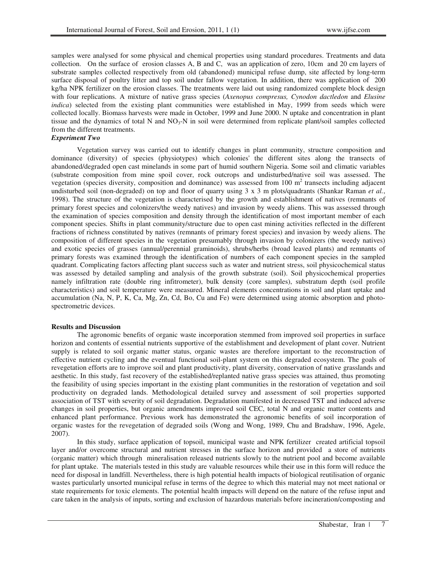samples were analysed for some physical and chemical properties using standard procedures. Treatments and data collection. On the surface of erosion classes A, B and C, was an application of zero, 10cm and 20 cm layers of substrate samples collected respectively from old (abandoned) municipal refuse dump, site affected by long-term surface disposal of poultry litter and top soil under fallow vegetation. In addition, there was application of 200 kg/ha NPK fertilizer on the erosion classes. The treatments were laid out using randomized complete block design with four replications. A mixture of native grass species (*Axenopus compresus, Cynodon dactledon* and *Elusine indica*) selected from the existing plant communities were established in May, 1999 from seeds which were collected locally. Biomass harvests were made in October, 1999 and June 2000. N uptake and concentration in plant tissue and the dynamics of total N and  $NO<sub>3</sub>-N$  in soil were determined from replicate plant/soil samples collected from the different treatments.

# *Experiment Two*

Vegetation survey was carried out to identify changes in plant community, structure composition and dominance (diversity) of species (physiotypes) which colonies' the different sites along the transects of abandoned/degraded open cast minelands in some part of humid southern Nigeria. Some soil and climatic variables (substrate composition from mine spoil cover, rock outcrops and undisturbed/native soil was assessed. The vegetation (species diversity, composition and dominance) was assessed from 100  $m<sup>2</sup>$  transects including adjacent undisturbed soil (non-degraded) on top and floor of quarry using 3 x 3 m plots/quadrants (Shankar Raman *et al.*, 1998). The structure of the vegetation is characterised by the growth and establishment of natives (remnants of primary forest species and colonizers/the weedy natives) and invasion by weedy aliens. This was assessed through the examination of species composition and density through the identification of most important member of each component species. Shifts in plant community/structure due to open cast mining activities reflected in the different fractions of richness constituted by natives (remnants of primary forest species) and invasion by weedy aliens. The composition of different species in the vegetation presumably through invasion by colonizers (the weedy natives) and exotic species of grasses (annual/perennial graminoids), shrubs/herbs (broad leaved plants) and remnants of primary forests was examined through the identification of numbers of each component species in the sampled quadrant. Complicating factors affecting plant success such as water and nutrient stress, soil physicochemical status was assessed by detailed sampling and analysis of the growth substrate (soil). Soil physicochemical properties namely infiltration rate (double ring infitrometer), bulk density (core samples), substratum depth (soil profile characteristics) and soil temperature were measured. Mineral elements concentrations in soil and plant uptake and accumulation (Na, N, P, K, Ca, Mg, Zn, Cd, Bo, Cu and Fe) were determined using atomic absorption and photospectrometric devices.

# **Results and Discussion**

The agronomic benefits of organic waste incorporation stemmed from improved soil properties in surface horizon and contents of essential nutrients supportive of the establishment and development of plant cover. Nutrient supply is related to soil organic matter status, organic wastes are therefore important to the reconstruction of effective nutrient cycling and the eventual functional soil-plant system on this degraded ecosystem. The goals of revegetation efforts are to improve soil and plant productivity, plant diversity, conservation of native grasslands and aesthetic. In this study, fast recovery of the established/replanted native grass species was attained, thus promoting the feasibility of using species important in the existing plant communities in the restoration of vegetation and soil productivity on degraded lands. Methodological detailed survey and assessment of soil properties supported association of TST with severity of soil degradation. Degradation manifested in decreased TST and induced adverse changes in soil properties, but organic amendments improved soil CEC, total N and organic matter contents and enhanced plant performance. Previous work has demonstrated the agronomic benefits of soil incorporation of organic wastes for the revegetation of degraded soils (Wong and Wong, 1989, Chu and Bradshaw, 1996, Agele, 2007).

In this study, surface application of topsoil, municipal waste and NPK fertilizer created artificial topsoil layer and/or overcome structural and nutrient stresses in the surface horizon and provided a store of nutrients (organic matter) which through mineralisation released nutrients slowly to the nutrient pool and become available for plant uptake. The materials tested in this study are valuable resources while their use in this form will reduce the need for disposal in landfill. Nevertheless, there is high potential health impacts of biological reutilisation of organic wastes particularly unsorted municipal refuse in terms of the degree to which this material may not meet national or state requirements for toxic elements. The potential health impacts will depend on the nature of the refuse input and care taken in the analysis of inputs, sorting and exclusion of hazardous materials before incineration/composting and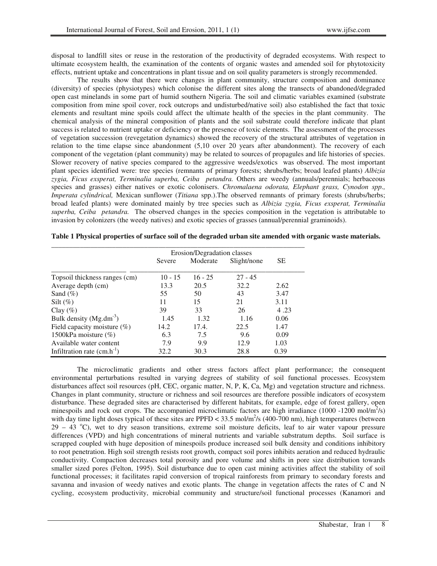disposal to landfill sites or reuse in the restoration of the productivity of degraded ecosystems. With respect to ultimate ecosystem health, the examination of the contents of organic wastes and amended soil for phytotoxicity effects, nutrient uptake and concentrations in plant tissue and on soil quality parameters is strongly recommended.

The results show that there were changes in plant community, structure composition and dominance (diversity) of species (physiotypes) which colonise the different sites along the transects of abandoned/degraded open cast minelands in some part of humid southern Nigeria. The soil and climatic variables examined (substrate composition from mine spoil cover, rock outcrops and undisturbed/native soil) also established the fact that toxic elements and resultant mine spoils could affect the ultimate health of the species in the plant community. The chemical analysis of the mineral composition of plants and the soil substrate could therefore indicate that plant success is related to nutrient uptake or deficiency or the presence of toxic elements. The assessment of the processes of vegetation succession (revegetation dynamics) showed the recovery of the structural attributes of vegetation in relation to the time elapse since abandonment (5,10 over 20 years after abandonment). The recovery of each component of the vegetation (plant community) may be related to sources of propagules and life histories of species. Slower recovery of native species compared to the aggressive weeds/exotics was observed. The most important plant species identified were: tree species (remnants of primary forests; shrubs/herbs; broad leafed plants) *Albizia zygia, Ficus exsperat, Terminalia superba, Ceiba petandra.* Others are weedy (annuals/perennials; herbaceous species and grasses) either natives or exotic colonisers. *Chromalaena odorata, Elephant grass, Cynodon spp., Imperata cylindrical,* Mexican sunflower (*Titiana* spp.).The observed remnants of primary forests (shrubs/herbs; broad leafed plants) were dominated mainly by tree species such as *Albizia zygia, Ficus exsperat, Terminalia superba, Ceiba petandra.* The observed changes in the species composition in the vegetation is attributable to invasion by colonizers (the weedy natives) and exotic species of grasses (annual/perennial graminoids).

|                                 | Erosion/Degradation classes |           |             |           |  |
|---------------------------------|-----------------------------|-----------|-------------|-----------|--|
|                                 | Severe                      | Moderate  | Slight/none | <b>SE</b> |  |
| Topsoil thickness ranges (cm)   | $10 - 15$                   | $16 - 25$ | $27 - 45$   |           |  |
| Average depth (cm)              | 13.3                        | 20.5      | 32.2        | 2.62      |  |
| Sand $(\%)$                     | 55                          | 50        | 43          | 3.47      |  |
| Silt $(\%)$                     | 11                          | 15        | 21          | 3.11      |  |
| Clay $(\% )$                    | 39                          | 33        | 26          | 4.23      |  |
| Bulk density $(Mg.dm^{-3})$     | 1.45                        | 1.32      | 1.16        | 0.06      |  |
| Field capacity moisture $(\%)$  | 14.2                        | 17.4.     | 22.5        | 1.47      |  |
| 1500kPa moisture $(\%)$         | 6.3                         | 7.5       | 9.6         | 0.09      |  |
| Available water content         | 7.9                         | 9.9       | 12.9        | 1.03      |  |
| Infiltration rate $(cm.h^{-1})$ | 32.2                        | 30.3      | 28.8        | 0.39      |  |

**Table 1 Physical properties of surface soil of the degraded urban site amended with organic waste materials.** 

The microclimatic gradients and other stress factors affect plant performance; the consequent environmental perturbations resulted in varying degrees of stability of soil functional processes. Ecosystem disturbances affect soil resources (pH, CEC, organic matter, N, P, K, Ca, Mg) and vegetation structure and richness. Changes in plant community, structure or richness and soil resources are therefore possible indicators of ecosystem disturbance. These degraded sites are characterised by different habitats, for example, edge of forest gallery, open minespoils and rock out crops. The accompanied microclimatic factors are high irradiance (1000 -1200 mol/m<sup>2</sup>/s) with day time light doses typical of these sites are PPFD <  $33.5 \text{ mol/m}^2/\text{s}$  (400-700 nm), high temperatures (between  $29 - 43$  °C), wet to dry season transitions, extreme soil moisture deficits, leaf to air water vapour pressure differences (VPD) and high concentrations of mineral nutrients and variable substratum depths. Soil surface is scrapped coupled with huge deposition of minespoils produce increased soil bulk density and conditions inhibitory to root penetration. High soil strength resists root growth, compact soil pores inhibits aeration and reduced hydraulic conductivity. Compaction decreases total porosity and pore volume and shifts in pore size distribution towards smaller sized pores (Felton, 1995). Soil disturbance due to open cast mining activities affect the stability of soil functional processes; it facilitates rapid conversion of tropical rainforests from primary to secondary forests and savanna and invasion of weedy natives and exotic plants. The change in vegetation affects the rates of C and N cycling, ecosystem productivity, microbial community and structure/soil functional processes (Kanamori and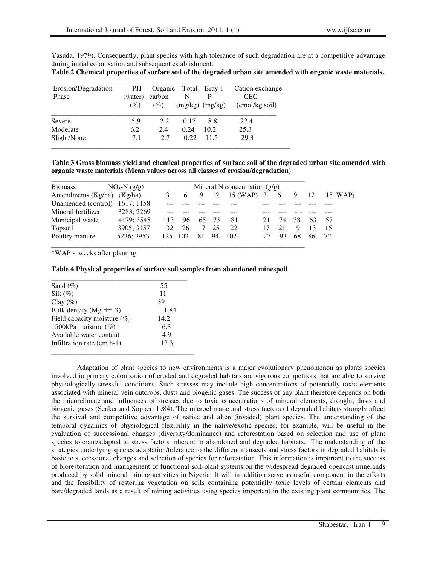Yasuda, 1979). Consequently, plant species with high tolerance of such degradation are at a competitive advantage during initial colonisation and subsequent establishment.

| Table 2 Chemical properties of surface soil of the degraded urban site amended with organic waste materials. |  |
|--------------------------------------------------------------------------------------------------------------|--|
|--------------------------------------------------------------------------------------------------------------|--|

| Erosion/Degradation<br>Phase | PH.<br>(water) | Organic<br>carbon | N     | Total Bray 1<br>P   | Cation exchange<br><b>CEC</b> |
|------------------------------|----------------|-------------------|-------|---------------------|-------------------------------|
|                              | (%)            | (%)               |       | $(mg/kg)$ $(mg/kg)$ | (cmol/kg soil)                |
| Severe                       | 5.9            | 2.2               | 0.17  | 8.8                 | 22.4                          |
| Moderate                     | 6.2            | 2.4               | 0.24  | 10.2                | 25.3                          |
| Slight/None                  | 7.1            | 2.7               | 0.22. | 11.5                | 29.3                          |

**Table 3 Grass biomass yield and chemical properties of surface soil of the degraded urban site amended with organic waste materials (Mean values across all classes of erosion/degradation)** 

| <b>Biomass</b>                 | $NO_3-N (g/g)$ |     |     |    |      | Mineral N concentration $(g/g)$ |    |    |    |    |     |         |
|--------------------------------|----------------|-----|-----|----|------|---------------------------------|----|----|----|----|-----|---------|
| Amendments (Kg/ha) (Kg/ha)     |                |     | 6   | 9  | 12   | 15 (WAP) 3                      |    | 6  | 9  | 12 |     | 15 WAP) |
| Unamended (control) 1617; 1158 |                |     |     |    |      |                                 |    |    |    |    |     |         |
| Mineral fertilizer             | 3283; 2269     |     |     |    |      |                                 |    |    |    |    |     |         |
| Municipal waste                | 4179; 3548     | 113 | 96  | 65 | - 73 | 81                              |    | 74 | 38 | 63 | .57 |         |
| Topsoil                        | 3905; 3157     | 32. | 26  | 17 | 25   | 22                              | 17 | 21 | 9  | 13 | 15  |         |
| Poultry manure                 | 5236: 3953     | 125 | 103 | 81 | 94   | 102                             |    | 93 | 68 | 86 | 72  |         |

\*WAP - weeks after planting

|  | Table 4 Physical properties of surface soil samples from abandoned minespoil |  |
|--|------------------------------------------------------------------------------|--|
|  |                                                                              |  |

| Sand $(\%)$                 | 55   |
|-----------------------------|------|
| Silt $(\%)$                 | 11   |
| Clay $(\%)$                 | 39   |
| Bulk density (Mg.dm-3)      | 1.84 |
| Field capacity moisture (%) | 14.2 |
| 1500kPa moisture $(\%)$     | 6.3  |
| Available water content     | 4.9  |
| Infiltration rate (cm.h-1)  | 13.3 |

Adaptation of plant species to new environments is a major evolutionary phenomenon as plants species involved in primary colonization of eroded and degraded habitats are vigorous competitors that are able to survive physiologically stressful conditions. Such stresses may include high concentrations of potentially toxic elements associated with mineral vein outcrops, dusts and biogenic gases. The success of any plant therefore depends on both the microclimate and influences of stresses due to toxic concentrations of mineral elements, drought, dusts and biogenic gases (Seaker and Sopper, 1984). The microclimatic and stress factors of degraded habitats strongly affect the survival and competitive advantage of native and alien (invaded) plant species. The understanding of the temporal dynamics of physiological flexibility in the native/exotic species, for example, will be useful in the evaluation of successional changes (diversity/dominance) and reforestation based on selection and use of plant species tolerant/adapted to stress factors inherent in abandoned and degraded habitats. The understanding of the strategies underlying species adaptation/tolerance to the different transects and stress factors in degraded habitats is basic to successional changes and selection of species for reforestation. This information is important to the success of biorestoration and management of functional soil-plant systems on the widespread degraded opencast minelands produced by solid mineral mining activities in Nigeria. It will in addition serve as useful component in the efforts and the feasibility of restoring vegetation on soils containing potentially toxic levels of certain elements and bare/degraded lands as a result of mining activities using species important in the existing plant communities. The